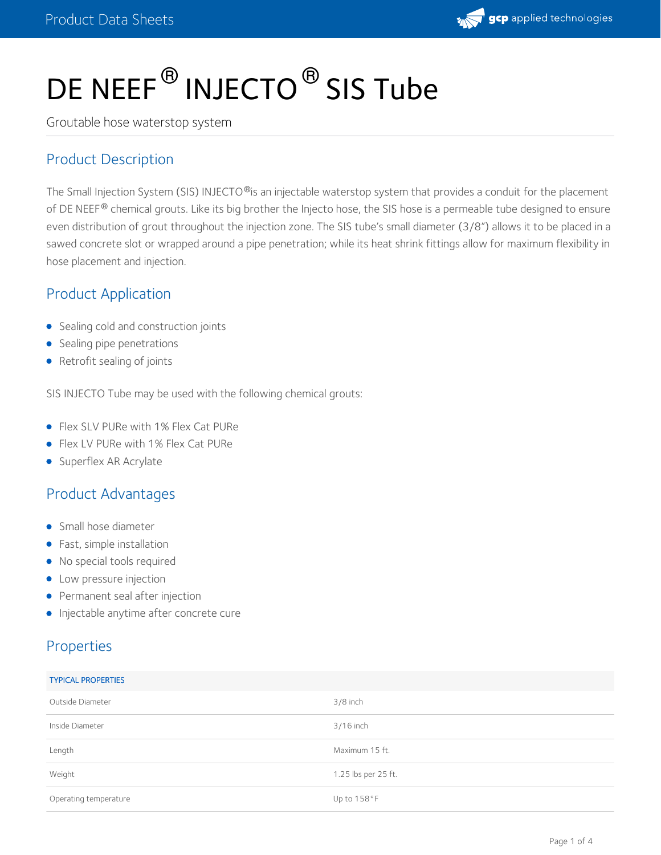

# DE NEEF $^\circledR$  INJECTO $^\circledR$  SIS Tube

Groutable hose waterstop system

## Product Description

The Small Injection System (SIS) INJECTO®is an injectable waterstop system that provides a conduit for the placement of DE NEEF® chemical grouts. Like its big brother the Injecto hose, the SIS hose is a permeable tube designed to ensure even distribution of grout throughout the injection zone. The SIS tube's small diameter (3/8") allows it to be placed in a sawed concrete slot or wrapped around a pipe penetration; while its heat shrink fittings allow for maximum flexibility in hose placement and injection.

## Product Application

- Sealing cold and construction joints
- Sealing pipe penetrations
- Retrofit sealing of joints

SIS INJECTO Tube may be used with the following chemical grouts:

- Flex SLV PURe with 1% Flex Cat PURe
- Flex LV PURe with 1% Flex Cat PURe
- Superflex AR Acrylate

## Product Advantages

- Small hose diameter
- Fast, simple installation
- No special tools required
- **•** Low pressure injection
- **•** Permanent seal after injection
- **·** Injectable anytime after concrete cure

## Properties

| <b>TYPICAL PROPERTIES</b> |                     |
|---------------------------|---------------------|
| Outside Diameter          | $3/8$ inch          |
| Inside Diameter           | $3/16$ inch         |
| Length                    | Maximum 15 ft.      |
| Weight                    | 1.25 lbs per 25 ft. |
| Operating temperature     | Up to 158°F         |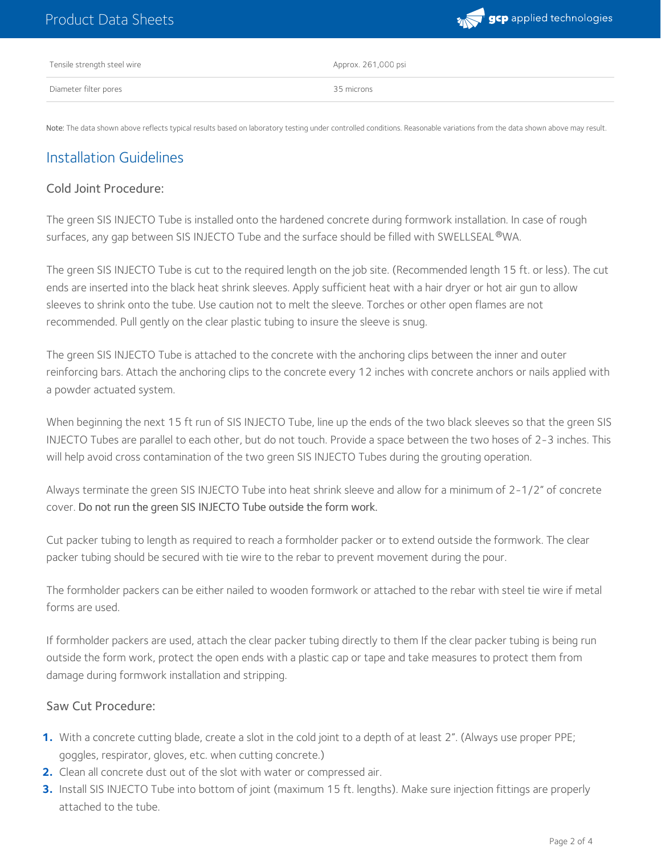

| Tensile strength steel wire | Approx. 261,000 psi |
|-----------------------------|---------------------|
| Diameter filter pores       | 35 microns          |

Note: The data shown above reflects typical results based on laboratory testing under controlled conditions. Reasonable variations from the data shown above may result.

## Installation Guidelines

#### Cold Joint Procedure:

The green SIS INJECTO Tube is installed onto the hardened concrete during formwork installation. In case of rough surfaces, any gap between SIS INJECTO Tube and the surface should be filled with SWELLSEAL  $^\text{\textregistered}$ WA.

The green SIS INJECTO Tube is cut to the required length on the job site. (Recommended length 15 ft. or less). The cut ends are inserted into the black heat shrink sleeves. Apply sufficient heat with a hair dryer or hot air gun to allow sleeves to shrink onto the tube. Use caution not to melt the sleeve. Torches or other open flames are not recommended. Pull gently on the clear plastic tubing to insure the sleeve is snug.

The green SIS INJECTO Tube is attached to the concrete with the anchoring clips between the inner and outer reinforcing bars. Attach the anchoring clips to the concrete every 12 inches with concrete anchors or nails applied with a powder actuated system.

When beginning the next 15 ft run of SIS INJECTO Tube, line up the ends of the two black sleeves so that the green SIS INJECTO Tubes are parallel to each other, but do not touch. Provide a space between the two hoses of 2-3 inches. This will help avoid cross contamination of the two green SIS INJECTO Tubes during the grouting operation.

Always terminate the green SIS INJECTO Tube into heat shrink sleeve and allow for a minimum of 2-1/2" of concrete cover. Do not run the green SIS INJECTO Tube outside the form work.

Cut packer tubing to length as required to reach a formholder packer or to extend outside the formwork. The clear packer tubing should be secured with tie wire to the rebar to prevent movement during the pour.

The formholder packers can be either nailed to wooden formwork or attached to the rebar with steel tie wire if metal forms are used.

If formholder packers are used, attach the clear packer tubing directly to them If the clear packer tubing is being run outside the form work, protect the open ends with a plastic cap or tape and take measures to protect them from damage during formwork installation and stripping.

#### Saw Cut Procedure:

- With a concrete cutting blade, create a slot in the cold joint to a depth of at least 2". (Always use proper PPE; **1.** goggles, respirator, gloves, etc. when cutting concrete.)
- **2.** Clean all concrete dust out of the slot with water or compressed air.
- Install SIS INJECTO Tube into bottom of joint (maximum 15 ft. lengths). Make sure injection fittings are properly attached to the tube. **3.**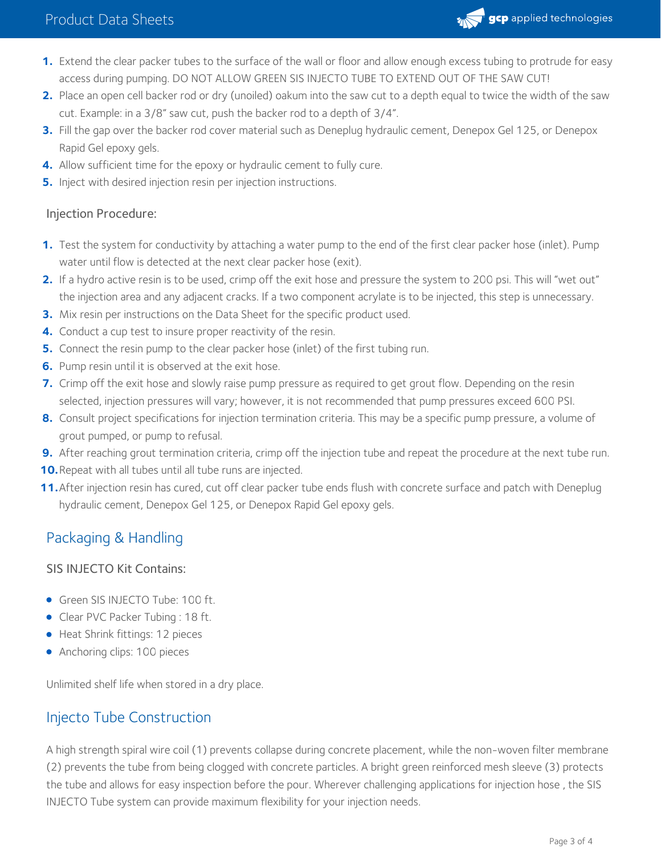## Product Data Sheets



- **1.** Extend the clear packer tubes to the surface of the wall or floor and allow enough excess tubing to protrude for easy access during pumping. DO NOT ALLOW GREEN SIS INJECTO TUBE TO EXTEND OUT OF THE SAW CUT!
- Place an open cell backer rod or dry (unoiled) oakum into the saw cutto a depth equal to twice the width of the saw cut. Example: in <sup>a</sup> 3/8" saw cut, push the backer rod to <sup>a</sup> depth of 3/4". **2.**
- Fill the gap over the backer rod cover material such as Deneplug hydraulic cement, Denepox Gel 125, or Denepox Rapid Gel epoxy gels. **3.**
- **4.** Allow sufficient time for the epoxy or hydraulic cement to fully cure.
- **5.** Inject with desired injection resin per injection instructions.

#### Injection Procedure:

- **1.** Test the system for conductivity by attaching a water pump to the end of the first clear packer hose (inlet). Pump water until flow is detected at the next clear packer hose (exit). **1.**
- 2. If a hydro active resin is to be used, crimp off the exit hose and pressure the system to 200 psi. This will "wet out" the injection area and any adjacent cracks. If <sup>a</sup> two component acrylate is to be injected, this step is unnecessary. **2.**
- **3.** Mix resin per instructions on the Data Sheet for the specific product used.
- **4.** Conduct a cup test to insure proper reactivity of the resin.
- **5.** Connect the resin pump to the clear packer hose (inlet) of the first tubing run.
- **6.** Pump resin until it is observed at the exit hose.
- 7. Crimp off the exit hose and slowly raise pump pressure as required to get grout flow. Depending on the resin selected, injection pressures will vary; however, it is not recommended that pump pressures exceed <sup>600</sup> PSI. **7.**
- Consult project specifications for injection termination criteria. This may be a specific pump pressure, a volume of grout pumped, or pump to refusal. **8.**
- **9.** After reaching grout termination criteria, crimp off the injection tube and repeat the procedure at the next tube run.
- **10.**Repeat with all tubes until all tube runs are injected.
- 11. After injection resin has cured, cut off clear packer tube ends flush with concrete surface and patch with Deneplug hydraulic cement, Denepox Gel 125, or Denepox Rapid Gel epoxy gels.

# Packaging & Handling

#### SIS INJECTO Kit Contains:

- Green SIS INJECTO Tube: 100 ft.
- Clear PVC Packer Tubing : 18 ft.
- Heat Shrink fittings: 12 pieces
- Anchoring clips: 100 pieces

Unlimited shelf life when stored in a dry place.

# Injecto Tube Construction

A high strength spiral wire coil (1) prevents collapse during concrete placement, while the non-woven filter membrane (2) prevents the tube from being clogged with concrete particles. A bright green reinforced mesh sleeve (3) protects the tube and allows for easy inspection before the pour. Wherever challenging applications for injection hose , the SIS INJECTO Tube system can provide maximum flexibility for your injection needs.